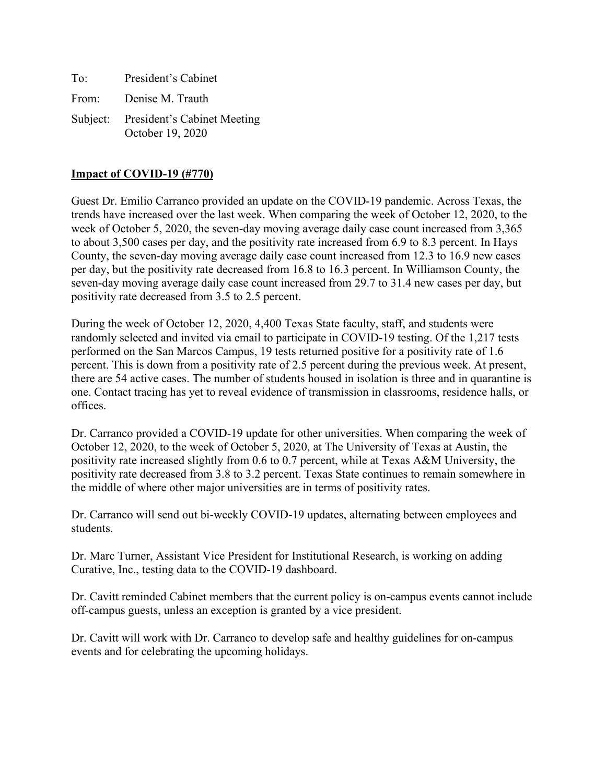| To: | President's Cabinet                                      |
|-----|----------------------------------------------------------|
|     | From: Denise M. Trauth                                   |
|     | Subject: President's Cabinet Meeting<br>October 19, 2020 |

### **Impact of COVID-19 (#770)**

Guest Dr. Emilio Carranco provided an update on the COVID-19 pandemic. Across Texas, the trends have increased over the last week. When comparing the week of October 12, 2020, to the week of October 5, 2020, the seven-day moving average daily case count increased from 3,365 to about 3,500 cases per day, and the positivity rate increased from 6.9 to 8.3 percent. In Hays County, the seven-day moving average daily case count increased from 12.3 to 16.9 new cases per day, but the positivity rate decreased from 16.8 to 16.3 percent. In Williamson County, the seven-day moving average daily case count increased from 29.7 to 31.4 new cases per day, but positivity rate decreased from 3.5 to 2.5 percent.

During the week of October 12, 2020, 4,400 Texas State faculty, staff, and students were randomly selected and invited via email to participate in COVID-19 testing. Of the 1,217 tests performed on the San Marcos Campus, 19 tests returned positive for a positivity rate of 1.6 percent. This is down from a positivity rate of 2.5 percent during the previous week. At present, there are 54 active cases. The number of students housed in isolation is three and in quarantine is one. Contact tracing has yet to reveal evidence of transmission in classrooms, residence halls, or offices.

Dr. Carranco provided a COVID-19 update for other universities. When comparing the week of October 12, 2020, to the week of October 5, 2020, at The University of Texas at Austin, the positivity rate increased slightly from 0.6 to 0.7 percent, while at Texas A&M University, the positivity rate decreased from 3.8 to 3.2 percent. Texas State continues to remain somewhere in the middle of where other major universities are in terms of positivity rates.

Dr. Carranco will send out bi-weekly COVID-19 updates, alternating between employees and students.

Dr. Marc Turner, Assistant Vice President for Institutional Research, is working on adding Curative, Inc., testing data to the COVID-19 dashboard.

Dr. Cavitt reminded Cabinet members that the current policy is on-campus events cannot include off-campus guests, unless an exception is granted by a vice president.

Dr. Cavitt will work with Dr. Carranco to develop safe and healthy guidelines for on-campus events and for celebrating the upcoming holidays.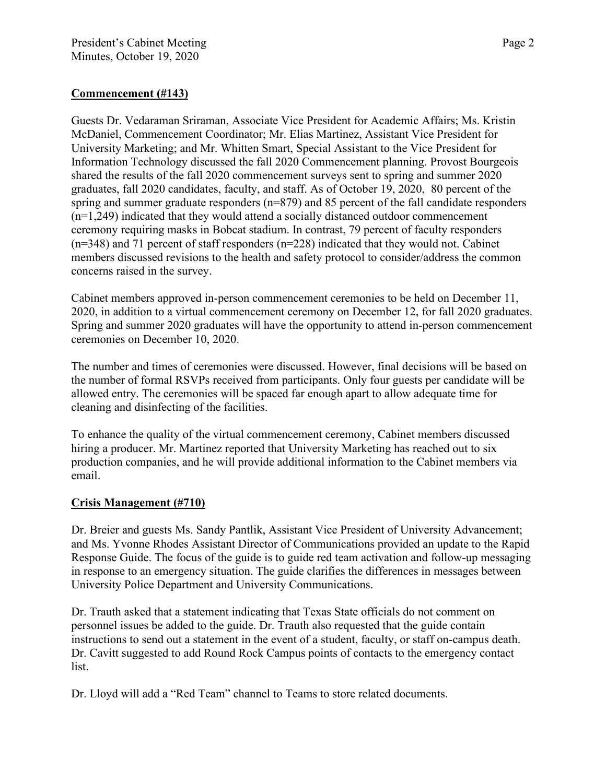## **Commencement (#143)**

Guests Dr. Vedaraman Sriraman, Associate Vice President for Academic Affairs; Ms. Kristin McDaniel, Commencement Coordinator; Mr. Elias Martinez, Assistant Vice President for University Marketing; and Mr. Whitten Smart, Special Assistant to the Vice President for Information Technology discussed the fall 2020 Commencement planning. Provost Bourgeois shared the results of the fall 2020 commencement surveys sent to spring and summer 2020 graduates, fall 2020 candidates, faculty, and staff. As of October 19, 2020, 80 percent of the spring and summer graduate responders (n=879) and 85 percent of the fall candidate responders (n=1,249) indicated that they would attend a socially distanced outdoor commencement ceremony requiring masks in Bobcat stadium. In contrast, 79 percent of faculty responders  $(n=348)$  and 71 percent of staff responders  $(n=228)$  indicated that they would not. Cabinet members discussed revisions to the health and safety protocol to consider/address the common concerns raised in the survey.

Cabinet members approved in-person commencement ceremonies to be held on December 11, 2020, in addition to a virtual commencement ceremony on December 12, for fall 2020 graduates. Spring and summer 2020 graduates will have the opportunity to attend in-person commencement ceremonies on December 10, 2020.

The number and times of ceremonies were discussed. However, final decisions will be based on the number of formal RSVPs received from participants. Only four guests per candidate will be allowed entry. The ceremonies will be spaced far enough apart to allow adequate time for cleaning and disinfecting of the facilities.

To enhance the quality of the virtual commencement ceremony, Cabinet members discussed hiring a producer. Mr. Martinez reported that University Marketing has reached out to six production companies, and he will provide additional information to the Cabinet members via email.

#### **Crisis Management (#710)**

Dr. Breier and guests Ms. Sandy Pantlik, Assistant Vice President of University Advancement; and Ms. Yvonne Rhodes Assistant Director of Communications provided an update to the Rapid Response Guide. The focus of the guide is to guide red team activation and follow-up messaging in response to an emergency situation. The guide clarifies the differences in messages between University Police Department and University Communications.

Dr. Trauth asked that a statement indicating that Texas State officials do not comment on personnel issues be added to the guide. Dr. Trauth also requested that the guide contain instructions to send out a statement in the event of a student, faculty, or staff on-campus death. Dr. Cavitt suggested to add Round Rock Campus points of contacts to the emergency contact list.

Dr. Lloyd will add a "Red Team" channel to Teams to store related documents.